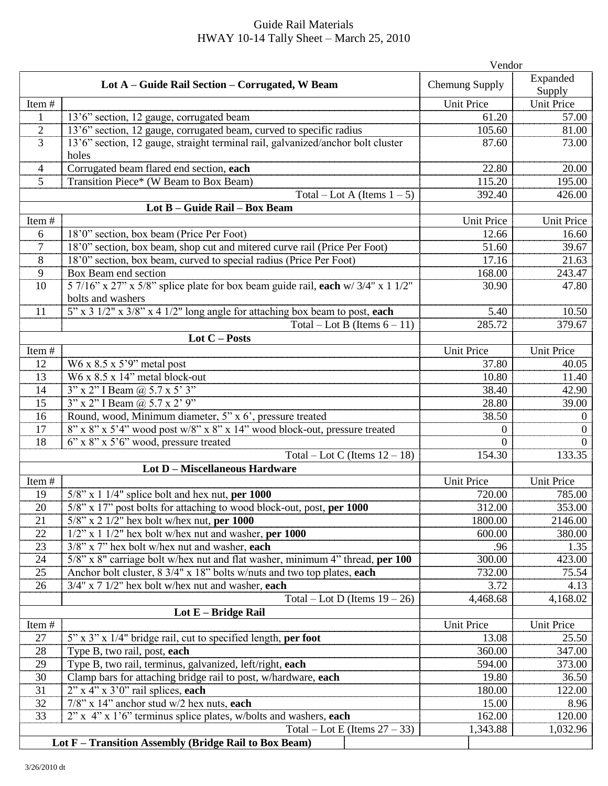## Guide Rail Materials HWAY 10-14 Tally Sheet – March 25, 2010

|                                                                                 |                                                                                                             | Vendor                     |                            |  |  |  |  |  |
|---------------------------------------------------------------------------------|-------------------------------------------------------------------------------------------------------------|----------------------------|----------------------------|--|--|--|--|--|
|                                                                                 | Lot A – Guide Rail Section – Corrugated, W Beam                                                             | <b>Chemung Supply</b>      | Expanded<br>Supply         |  |  |  |  |  |
| Item#                                                                           |                                                                                                             | <b>Unit Price</b>          | <b>Unit Price</b>          |  |  |  |  |  |
| $\mathbf{1}$                                                                    | 13'6" section, 12 gauge, corrugated beam                                                                    | 61.20                      | 57.00                      |  |  |  |  |  |
| $\overline{2}$                                                                  | 13'6" section, 12 gauge, corrugated beam, curved to specific radius                                         | 105.60                     | 81.00                      |  |  |  |  |  |
| 3                                                                               | 13'6" section, 12 gauge, straight terminal rail, galvanized/anchor bolt cluster<br>holes                    | 87.60                      | 73.00                      |  |  |  |  |  |
| 4                                                                               | Corrugated beam flared end section, each                                                                    | 22.80                      | 20.00                      |  |  |  |  |  |
| 5                                                                               | Transition Piece* (W Beam to Box Beam)                                                                      | 115.20                     | 195.00                     |  |  |  |  |  |
|                                                                                 | Total – Lot A (Items $1 - 5$ )                                                                              | 392.40                     | 426.00                     |  |  |  |  |  |
| Lot B - Guide Rail - Box Beam                                                   |                                                                                                             |                            |                            |  |  |  |  |  |
| Item#                                                                           |                                                                                                             | <b>Unit Price</b>          | Unit Price                 |  |  |  |  |  |
| 6                                                                               | 18'0" section, box beam (Price Per Foot)                                                                    | 12.66                      | 16.60                      |  |  |  |  |  |
| $\overline{7}$                                                                  | 18'0" section, box beam, shop cut and mitered curve rail (Price Per Foot)                                   | 51.60                      | 39.67                      |  |  |  |  |  |
| 8                                                                               | 18'0" section, box beam, curved to special radius (Price Per Foot)                                          | 17.16                      | 21.63                      |  |  |  |  |  |
| 9                                                                               | Box Beam end section                                                                                        | 168.00                     | 243.47                     |  |  |  |  |  |
| 10                                                                              | 5 7/16" x 27" x 5/8" splice plate for box beam guide rail, each w/ $3/4$ " x 1 $1/2$ "<br>bolts and washers | 30.90                      | 47.80                      |  |  |  |  |  |
| 11                                                                              | $5''$ x 3 1/2" x 3/8" x 4 1/2" long angle for attaching box beam to post, each                              | 5.40                       | 10.50                      |  |  |  |  |  |
|                                                                                 | Total – Lot B (Items $6 - 11$ )                                                                             | 285.72                     | 379.67                     |  |  |  |  |  |
|                                                                                 | Lot $C$ – Posts                                                                                             |                            |                            |  |  |  |  |  |
| Item#                                                                           |                                                                                                             | <b>Unit Price</b>          | <b>Unit Price</b>          |  |  |  |  |  |
| 12                                                                              | W6 x $8.5$ x $5'$ 9" metal post                                                                             | 37.80                      | 40.05                      |  |  |  |  |  |
| 13                                                                              | W6 x 8.5 x 14" metal block-out                                                                              | 10.80                      | 11.40                      |  |  |  |  |  |
| 14                                                                              | 3" x 2" I Beam @ 5.7 x 5' 3"                                                                                | 38.40                      | 42.90                      |  |  |  |  |  |
| 15                                                                              | 3" x 2" I Beam @ 5.7 x 2' 9"                                                                                | 28.80                      | 39.00                      |  |  |  |  |  |
| 16                                                                              | Round, wood, Minimum diameter, 5" x 6', pressure treated                                                    | 38.50                      | $\theta$<br>$\theta$       |  |  |  |  |  |
| 17                                                                              | 8" x 8" x 5'4" wood post w/8" x 8" x 14" wood block-out, pressure treated                                   | $\overline{0}$             |                            |  |  |  |  |  |
| 18<br>6" x 8" x 5'6" wood, pressure treated<br>Total – Lot C (Items $12 - 18$ ) |                                                                                                             | 0<br>154.30                | $\Omega$<br>133.35         |  |  |  |  |  |
| <b>Lot D - Miscellaneous Hardware</b>                                           |                                                                                                             |                            |                            |  |  |  |  |  |
| Item#                                                                           |                                                                                                             | <b>Unit Price</b>          | <b>Unit Price</b>          |  |  |  |  |  |
| 19                                                                              | $5/8$ " x 1 1/4" splice bolt and hex nut, per 1000                                                          | 720.00                     | 785.00                     |  |  |  |  |  |
| 20                                                                              | 5/8" x 17" post bolts for attaching to wood block-out, post, per 1000                                       | 312.00                     | 353.00                     |  |  |  |  |  |
| 21                                                                              | $5/8$ " x 2 $1/2$ " hex bolt w/hex nut, per 1000                                                            | 1800.00                    | 2146.00                    |  |  |  |  |  |
| 22                                                                              | $1/2$ " x 1 $1/2$ " hex bolt w/hex nut and washer, per 1000                                                 | 600.00                     | 380.00                     |  |  |  |  |  |
| 23                                                                              | $3/8$ " x 7" hex bolt w/hex nut and washer, each                                                            | .96                        | 1.35                       |  |  |  |  |  |
| 24                                                                              | 5/8" x 8" carriage bolt w/hex nut and flat washer, minimum 4" thread, per 100                               | 300.00                     | 423.00                     |  |  |  |  |  |
| 25                                                                              | Anchor bolt cluster, 8 3/4" x 18" bolts w/nuts and two top plates, each                                     | 732.00                     | 75.54                      |  |  |  |  |  |
| 26                                                                              | $3/4$ " x 7 $1/2$ " hex bolt w/hex nut and washer, each                                                     | 3.72                       | 4.13                       |  |  |  |  |  |
|                                                                                 | Total – Lot D (Items $19 - 26$ )                                                                            | 4,468.68                   | 4,168.02                   |  |  |  |  |  |
|                                                                                 | Lot E - Bridge Rail                                                                                         |                            |                            |  |  |  |  |  |
| Item#<br>27                                                                     | 5" x 3" x 1/4" bridge rail, cut to specified length, per foot                                               | <b>Unit Price</b><br>13.08 | <b>Unit Price</b><br>25.50 |  |  |  |  |  |
| 28                                                                              | Type B, two rail, post, each                                                                                | 360.00                     | 347.00                     |  |  |  |  |  |
| 29                                                                              | Type B, two rail, terminus, galvanized, left/right, each                                                    | 594.00                     | 373.00                     |  |  |  |  |  |
| 30                                                                              | Clamp bars for attaching bridge rail to post, w/hardware, each                                              | 19.80                      | 36.50                      |  |  |  |  |  |
| 31                                                                              | $2$ " x 4" x 3'0" rail splices, each                                                                        | 180.00                     | 122.00                     |  |  |  |  |  |
| 32                                                                              | $7/8$ " x 14" anchor stud w/2 hex nuts, each                                                                | 15.00                      | 8.96                       |  |  |  |  |  |
| 33                                                                              | 2" x 4" x 1'6" terminus splice plates, w/bolts and washers, each                                            | 162.00                     | 120.00                     |  |  |  |  |  |
|                                                                                 | Total – Lot E (Items $27 - 33$ )                                                                            | 1,343.88                   | 1,032.96                   |  |  |  |  |  |
| Lot F - Transition Assembly (Bridge Rail to Box Beam)                           |                                                                                                             |                            |                            |  |  |  |  |  |